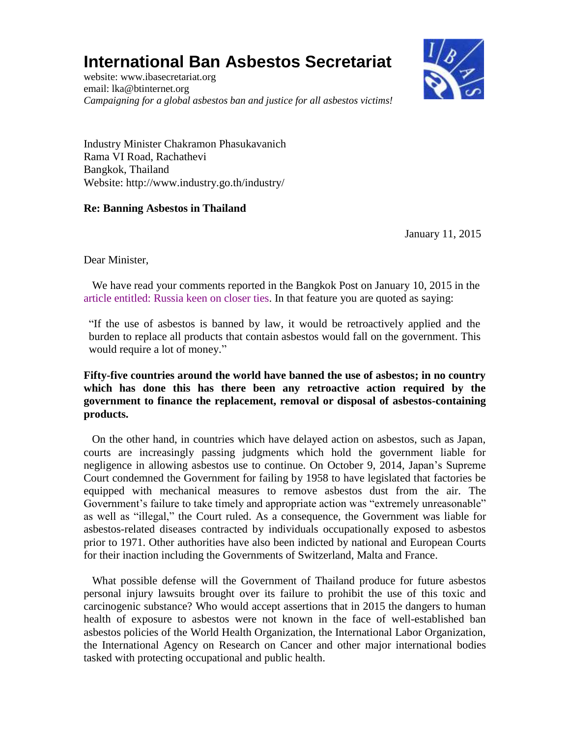## **International Ban Asbestos Secretariat**

website: [www.ibasecretariat.org](http://www.ibasecretariat.org/) email: [lka@btinternet.org](mailto:lka@btinternet.org) *Campaigning for a global asbestos ban and justice for all asbestos victims!*



Industry Minister Chakramon Phasukavanich Rama VI Road, Rachathevi Bangkok, Thailand Website: http://www.industry.go.th/industry/

## **Re: Banning Asbestos in Thailand**

January 11, 2015

Dear Minister,

 We have read your comments reported in the Bangkok Post on January 10, 2015 in the [article entitled: Russia keen on closer ties.](http://www.bangkokpost.com/print/455856/) In that feature you are quoted as saying:

"If the use of asbestos is banned by law, it would be retroactively applied and the burden to replace all products that contain asbestos would fall on the government. This would require a lot of money."

## **Fifty-five countries around the world have banned the use of asbestos; in no country which has done this has there been any retroactive action required by the government to finance the replacement, removal or disposal of asbestos-containing products.**

 On the other hand, in countries which have delayed action on asbestos, such as Japan, courts are increasingly passing judgments which hold the government liable for negligence in allowing asbestos use to continue. On October 9, 2014, Japan's Supreme Court condemned the Government for failing by 1958 to have legislated that factories be equipped with mechanical measures to remove asbestos dust from the air. The Government's failure to take timely and appropriate action was "extremely unreasonable" as well as "illegal," the Court ruled. As a consequence, the Government was liable for asbestos-related diseases contracted by individuals occupationally exposed to asbestos prior to 1971. Other authorities have also been indicted by national and European Courts for their inaction including the Governments of Switzerland, Malta and France.

 What possible defense will the Government of Thailand produce for future asbestos personal injury lawsuits brought over its failure to prohibit the use of this toxic and carcinogenic substance? Who would accept assertions that in 2015 the dangers to human health of exposure to asbestos were not known in the face of well-established ban asbestos policies of the World Health Organization, the International Labor Organization, the International Agency on Research on Cancer and other major international bodies tasked with protecting occupational and public health.